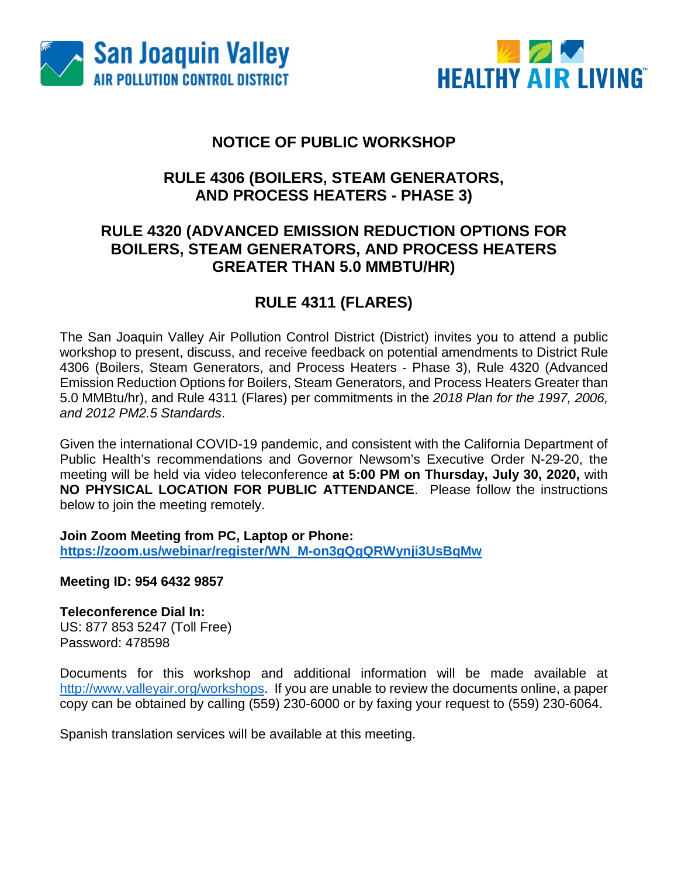



### **NOTICE OF PUBLIC WORKSHOP**

## **RULE 4306 (BOILERS, STEAM GENERATORS, AND PROCESS HEATERS - PHASE 3)**

### **RULE 4320 (ADVANCED EMISSION REDUCTION OPTIONS FOR BOILERS, STEAM GENERATORS, AND PROCESS HEATERS GREATER THAN 5.0 MMBTU/HR)**

## **RULE 4311 (FLARES)**

The San Joaquin Valley Air Pollution Control District (District) invites you to attend a public workshop to present, discuss, and receive feedback on potential amendments to District Rule 4306 (Boilers, Steam Generators, and Process Heaters - Phase 3), Rule 4320 (Advanced Emission Reduction Options for Boilers, Steam Generators, and Process Heaters Greater than 5.0 MMBtu/hr), and Rule 4311 (Flares) per commitments in the *2018 Plan for the 1997, 2006, and 2012 PM2.5 Standards*.

Given the international COVID-19 pandemic, and consistent with the California Department of Public Health's recommendations and Governor Newsom's Executive Order N-29-20, the meeting will be held via video teleconference **at 5:00 PM on Thursday, July 30, 2020,** with **NO PHYSICAL LOCATION FOR PUBLIC ATTENDANCE**. Please follow the instructions below to join the meeting remotely.

**Join Zoom Meeting from PC, Laptop or Phone: [https://zoom.us/webinar/register/WN\\_M-on3gQgQRWynji3UsBqMw](https://zoom.us/webinar/register/WN_M-on3gQgQRWynji3UsBqMw)**

**Meeting ID: 954 6432 9857**

**Teleconference Dial In:**

US: 877 853 5247 (Toll Free) Password: 478598

Documents for this workshop and additional information will be made available at [http://www.valleyair.org/workshops.](http://www.valleyair.org/workshops) If you are unable to review the documents online, a paper copy can be obtained by calling (559) 230-6000 or by faxing your request to (559) 230-6064.

Spanish translation services will be available at this meeting.